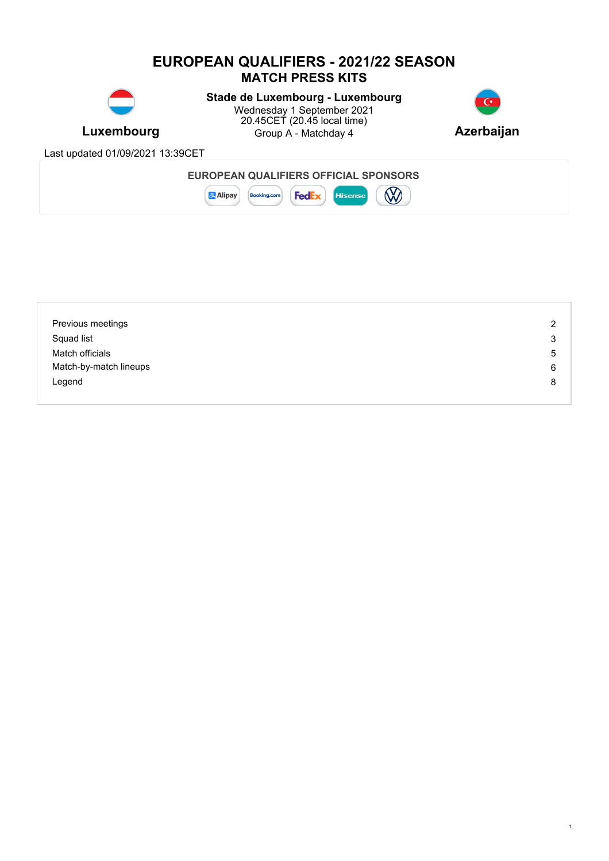# **EUROPEAN QUALIFIERS - 2021/22 SEASON MATCH PRESS KITS**



**Luxembourg** Group A - Matchday 4 **Azerbaijan Stade de Luxembourg - Luxembourg** Wednesday 1 September 2021 20.45CET (20.45 local time)



1

Last updated 01/09/2021 13:39CET



| Previous meetings      | 2 |
|------------------------|---|
| Squad list             | 3 |
| Match officials        | 5 |
| Match-by-match lineups | 6 |
| Legend                 | 8 |
|                        |   |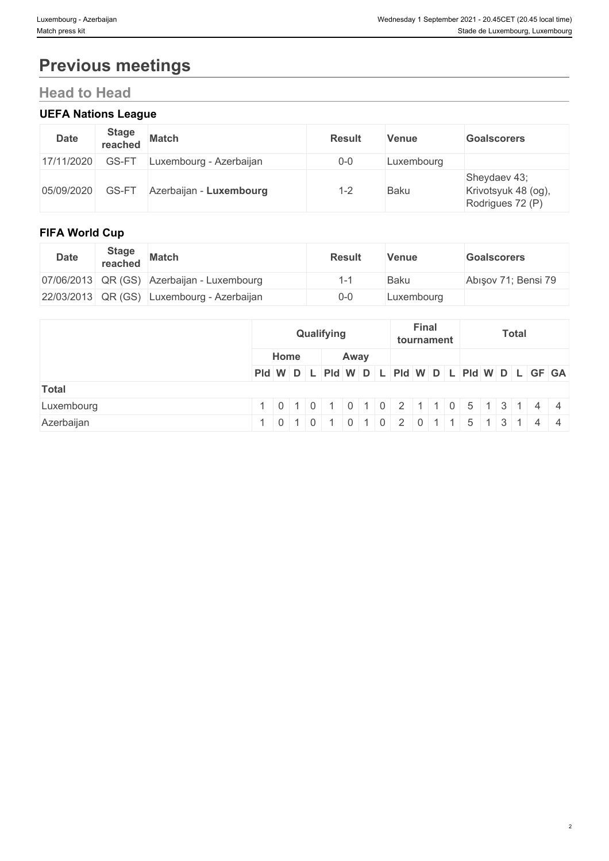# **Previous meetings**

# **Head to Head**

### **UEFA Nations League**

| <b>Date</b> | <b>Stage</b><br>reached | <b>Match</b>            | <b>Result</b> | <b>Venue</b> | <b>Goalscorers</b>                                      |
|-------------|-------------------------|-------------------------|---------------|--------------|---------------------------------------------------------|
| 17/11/2020  | GS-FT                   | Luxembourg - Azerbaijan | $0-0$         | Luxembourg   |                                                         |
| 05/09/2020  | GS-FT                   | Azerbaijan - Luxembourg | $1 - 2$       | <b>Baku</b>  | Sheydaev 43;<br>Krivotsyuk 48 (og),<br>Rodrigues 72 (P) |

### **FIFA World Cup**

| <b>Date</b> | <b>Stage</b><br>reached | <b>Match</b>                               | <b>Result</b> | Venue      | <b>Goalscorers</b>  |
|-------------|-------------------------|--------------------------------------------|---------------|------------|---------------------|
|             |                         | 07/06/2013 QR (GS) Azerbaijan - Luxembourg |               | Baku       | Abisov 71; Bensi 79 |
|             |                         | 22/03/2013 QR (GS) Luxembourg - Azerbaijan | $0 - 0$       | Luxembourg |                     |

|              | Qualifying                                                                                                                      |      | <b>Final</b><br>tournament | <b>Total</b>                                                                                   |
|--------------|---------------------------------------------------------------------------------------------------------------------------------|------|----------------------------|------------------------------------------------------------------------------------------------|
|              | Home                                                                                                                            | Away |                            |                                                                                                |
|              |                                                                                                                                 |      |                            | Pid W D L Pid W D L Pid W D L Pid W D L GF GA                                                  |
| <b>Total</b> |                                                                                                                                 |      |                            |                                                                                                |
| Luxembourg   |                                                                                                                                 |      |                            | 1 0 1 0 1 0 1 0 1 0 2 1 1 0 5 1 3 1 4 4                                                        |
| Azerbaijan   | $\begin{array}{c c c c c c} \hline \multicolumn{1}{c }{\textbf{0} & \textbf{1} & \textbf{0} & \textbf{0} \\ \hline \end{array}$ |      |                            | $1 \mid 0 \mid 1 \mid 0 \mid 2 \mid 0 \mid 1 \mid 1 \mid 5 \mid 1 \mid 3 \mid 1 \mid 4 \mid 4$ |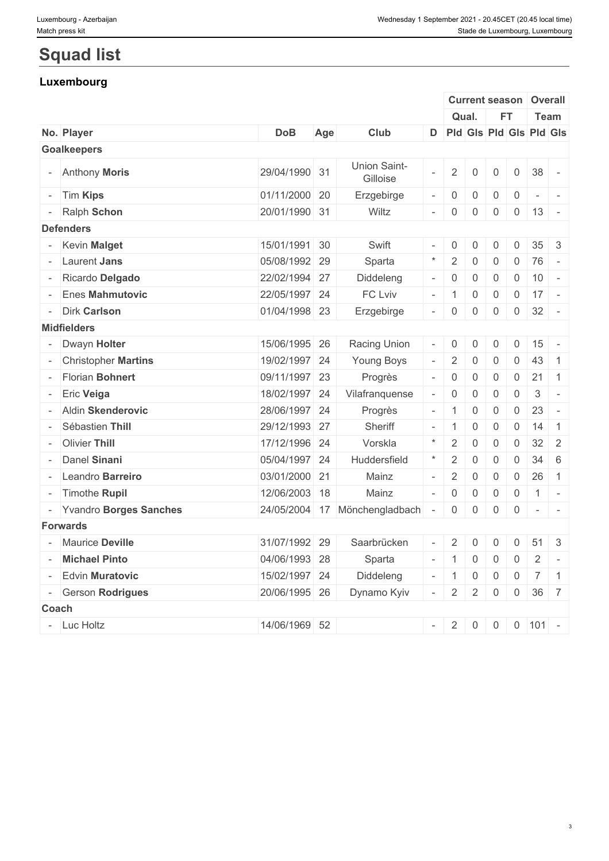# **Squad list**

## **Luxembourg**

|                          |               |     |                               |                          |                | <b>Current season</b>            |                |                | Overall                                                                                 |                          |
|--------------------------|---------------|-----|-------------------------------|--------------------------|----------------|----------------------------------|----------------|----------------|-----------------------------------------------------------------------------------------|--------------------------|
|                          |               |     |                               |                          |                | Qual.                            | <b>FT</b>      |                | Team                                                                                    |                          |
| No. Player               | <b>DoB</b>    | Age | Club                          |                          |                |                                  |                |                | D Pld Gls Pld Gls Pld Gls                                                               |                          |
| <b>Goalkeepers</b>       |               |     |                               |                          |                |                                  |                |                |                                                                                         |                          |
| - Anthony Moris          | 29/04/1990 31 |     | Union Saint-<br>Gilloise      |                          | $\overline{2}$ | $\overline{0}$                   | $\mathbf 0$    | $\overline{0}$ | 38                                                                                      |                          |
| - Tim Kips               | 01/11/2000 20 |     | Erzgebirge                    | $\overline{\phantom{a}}$ | $\overline{0}$ | 0                                | $\mathbf 0$    | $\overline{0}$ | $\sim$                                                                                  | $\sim$                   |
| - Ralph Schon            | 20/01/1990 31 |     | Wiltz                         |                          | $-$ 0          | 0                                | $\overline{0}$ |                | $0 \mid 13 \mid -$                                                                      |                          |
| <b>Defenders</b>         |               |     |                               |                          |                |                                  |                |                |                                                                                         |                          |
| - Kevin Malget           | 15/01/1991 30 |     | Swift                         |                          | $-$ 0          | 0                                | $\overline{0}$ | $\overline{0}$ | $35 \quad 3$                                                                            |                          |
| - Laurent Jans           | 05/08/1992 29 |     | Sparta                        | $\star$                  | 2              | $\mathbf 0$                      | $\mathbf 0$    | $\overline{0}$ | 76                                                                                      | $\sim$                   |
| - Ricardo Delgado        | 22/02/1994 27 |     | Diddeleng                     | $\overline{\phantom{a}}$ |                | $\mathbf 0$                      | $\mathbf 0$    | $\overline{0}$ | 10                                                                                      | $\sim$ $-$               |
| - Enes Mahmutovic        | 22/05/1997 24 |     | FC Lviv                       |                          | $-1$           | $\overline{0}$                   | $\overline{0}$ |                | $0 \mid 17 \mid -$                                                                      |                          |
| - Dirk Carlson           | 01/04/1998 23 |     | Erzgebirge                    |                          | $-$ 0          | 0                                | $\overline{0}$ | $\overline{0}$ | $32 -$                                                                                  |                          |
| <b>Midfielders</b>       |               |     |                               |                          |                |                                  |                |                |                                                                                         |                          |
| - Dwayn Holter           | 15/06/1995 26 |     | Racing Union                  | $\overline{\phantom{a}}$ | $\overline{0}$ | 0                                | $\overline{0}$ | $\overline{0}$ | 15                                                                                      | $\sim$                   |
| - Christopher Martins    | 19/02/1997 24 |     | Young Boys                    |                          | 2              | 0                                | 0              | $\mathsf{O}$   | 43                                                                                      | $\overline{1}$           |
| - Florian Bohnert        | 09/11/1997 23 |     | Progrès                       |                          | $-$ 0          | $\mathbf 0$                      | $\mathbf 0$    | $\overline{0}$ | 21                                                                                      | $\vert$ 1                |
| - Eric Veiga             | 18/02/1997 24 |     | Vilafranquense                | $\overline{\phantom{a}}$ | $\overline{0}$ | $\mathbf 0$                      | $\mathbf 0$    | $\overline{0}$ | $\mathbf{3}$                                                                            | $\sim$                   |
| - Aldin Skenderovic      | 28/06/1997 24 |     | Progrès                       |                          | $-1$           | $\mathbf 0$                      | $\mathbf 0$    | $\overline{0}$ | 23                                                                                      | $\overline{\phantom{a}}$ |
| - Sébastien Thill        | 29/12/1993 27 |     | Sheriff                       |                          | - 1            | $\mathbf 0$                      | $\mathbf 0$    | $\overline{0}$ | 14                                                                                      | $\overline{1}$           |
| - Olivier Thill          | 17/12/1996 24 |     | Vorskla                       | $\star$                  | 2              | $\mathbf 0$                      | $\mathbf 0$    | $\overline{0}$ | $32 \mid 2$                                                                             |                          |
| - Danel Sinani           | 05/04/1997 24 |     | Huddersfield                  | $\star$                  | 2              | $\mathbf 0$                      | $\mathbf 0$    | $\mathbf 0$    | $34 \quad 6$                                                                            |                          |
| - Leandro Barreiro       | 03/01/2000 21 |     | Mainz                         |                          | 2              | $\mathbf 0$                      | $\mathbf 0$    | $\overline{0}$ | 26                                                                                      | $\overline{1}$           |
| - Timothe Rupil          | 12/06/2003 18 |     | Mainz                         | $\overline{\phantom{a}}$ |                | $\mathbf 0$                      | $\overline{0}$ | $\overline{0}$ | $1$ -                                                                                   |                          |
| - Yvandro Borges Sanches |               |     | 24/05/2004 17 Mönchengladbach |                          | $\overline{0}$ | $\mathbf 0$                      | $\overline{0}$ | $\overline{0}$ | $\begin{array}{cccccccccc} \bullet & \bullet & \bullet & \bullet & \bullet \end{array}$ |                          |
| <b>Forwards</b>          |               |     |                               |                          |                |                                  |                |                |                                                                                         |                          |
| - Maurice Deville        | 31/07/1992 29 |     | Saarbrücken                   | $\overline{\phantom{a}}$ | 2              | 0                                | $\mathbf 0$    | $\overline{0}$ | $51 \quad 3$                                                                            |                          |
| - Michael Pinto          | 04/06/1993 28 |     | Sparta                        |                          | $-11$          |                                  | $0 \mid 0$     |                |                                                                                         |                          |
| - Edvin Muratovic        | 15/02/1997 24 |     | Diddeleng                     |                          |                |                                  |                |                | $0 \mid 7 \mid 1$                                                                       |                          |
| - Gerson Rodrigues       |               |     | Dynamo Kyiv                   |                          | $- 1$          | $\overline{0}$<br>$\overline{2}$ | $\overline{0}$ |                |                                                                                         |                          |
|                          | 20/06/1995 26 |     |                               |                          | $- 2$          |                                  | $\overline{0}$ |                | $0 \quad 36 \quad 7$                                                                    |                          |
| Coach                    |               |     |                               |                          |                |                                  |                |                |                                                                                         |                          |
| - Luc Holtz              | 14/06/1969 52 |     |                               |                          |                |                                  |                |                | $-$ 2 0 0 0 101 -                                                                       |                          |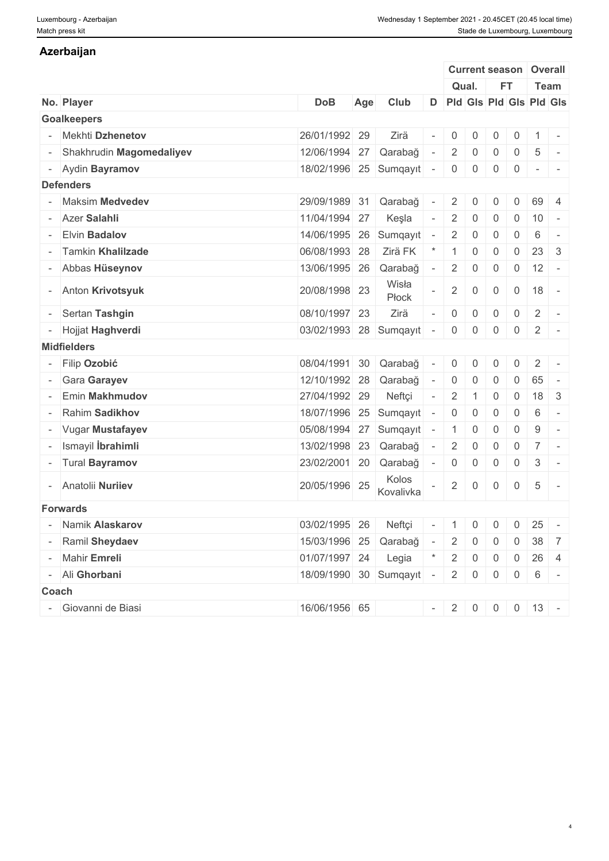### **Azerbaijan**

|                                                 |                          |     |                    |                          |                                                     |                | <b>Current season Overall</b> |                                   |                                  |                          |
|-------------------------------------------------|--------------------------|-----|--------------------|--------------------------|-----------------------------------------------------|----------------|-------------------------------|-----------------------------------|----------------------------------|--------------------------|
|                                                 |                          |     |                    |                          | Qual.                                               |                | <b>FT</b>                     |                                   | Team                             |                          |
| No. Player                                      | <b>DoB</b>               | Age | Club               |                          |                                                     |                | D Pld Gis Pld Gis Pld Gis     |                                   |                                  |                          |
| <b>Goalkeepers</b>                              |                          |     |                    |                          |                                                     |                |                               |                                   |                                  |                          |
| Mekhti Dzhenetov                                | 26/01/1992 29            |     | Zirä               |                          | $\overline{0}$                                      | $\overline{0}$ | $\mathbf 0$                   | $\overline{0}$                    | 1                                | $\sim$                   |
| - Shakhrudin Magomedaliyev                      | 12/06/1994 27            |     | Qarabağ            |                          | $2^{\circ}$                                         | 0              | $\mathbf 0$                   | $\overline{0}$<br>$5\phantom{.0}$ |                                  |                          |
| - Aydin Bayramov                                | 18/02/1996 25 Sumqayıt   |     |                    | $\sim$                   | $\overline{0}$                                      | $\overline{0}$ | $\overline{0}$                | $\overline{0}$                    | $\sim$ 100 $\sim$ 100 $\sim$     |                          |
| <b>Defenders</b>                                |                          |     |                    |                          |                                                     |                |                               |                                   |                                  |                          |
| - Maksim Medvedev                               | 29/09/1989 31 Qarabağ    |     |                    |                          | $2^{\circ}$                                         | $\overline{0}$ | $\mathbf 0$                   | $\overline{0}$                    | 69                               |                          |
|                                                 |                          |     |                    |                          |                                                     |                |                               |                                   |                                  |                          |
| - Azer Salahli                                  | 11/04/1994 27            |     | Keşla              |                          | $\overline{2}$                                      | $\overline{0}$ | $\overline{0}$                | $\overline{0}$<br>10              |                                  | $\sim$                   |
| <b>Elvin Badalov</b>                            | 14/06/1995 26            |     | Sumqayıt           | $\overline{a}$           | 2 <sup>1</sup>                                      | $\overline{0}$ | $\overline{0}$                | 6<br>$\overline{0}$               |                                  |                          |
| - Tamkin Khalilzade                             | 06/08/1993 28            |     | Zirä FK            |                          | 1                                                   | $\overline{0}$ | $\mathbf 0$                   | $\overline{0}$                    | $23 \quad 3$                     |                          |
| - Abbas Hüseynov                                | 13/06/1995 26            |     | Qarabağ            |                          | $2 \mid$                                            | $\overline{0}$ | $\overline{0}$                | $0 \mid 12$                       |                                  | $\sim$                   |
| - Anton Krivotsyuk                              | 20/08/1998 23            |     | Wisła<br>Płock     |                          | $2 \mid$                                            | $\overline{0}$ | $\overline{0}$                | $\overline{0}$<br>18              |                                  |                          |
| Sertan Tashgin                                  | 08/10/1997 23            |     | Zirä               |                          | $\overline{0}$                                      | $\mathbf 0$    | $\overline{0}$                | $\overline{0}$<br>2               |                                  |                          |
| - Hojjat Haghverdi                              | 03/02/1993 28            |     | Sumqayıt           |                          | $\overline{0}$                                      | $\overline{0}$ | $\mathbf 0$                   | $\overline{2}$<br>$\overline{0}$  |                                  | $\sim$                   |
| <b>Midfielders</b>                              |                          |     |                    |                          |                                                     |                |                               |                                   |                                  |                          |
| <b>Filip Ozobić</b><br>$\overline{\phantom{a}}$ | 08/04/1991 30            |     | Qarabağ            |                          | $\mathbf 0$                                         | $\Omega$       | $\Omega$                      | $\Omega$<br>2                     |                                  |                          |
| - Gara Garayev                                  | 12/10/1992 28            |     | Qarabağ            | $\sim$                   | $\overline{0}$                                      | $\overline{0}$ | $\overline{0}$                | $\overline{0}$<br>65              |                                  | $\overline{\phantom{a}}$ |
| Emin Makhmudov                                  | 27/04/1992 29            |     | Neftçi             |                          | $\overline{2}$                                      | $\overline{1}$ | $\overline{0}$                | $\overline{0}$                    | $18 \overline{\smash{\big)}\ 3}$ |                          |
| Rahim Sadikhov                                  | 18/07/1996 25 Sumqayıt   |     |                    |                          | $\overline{0}$                                      | $\overline{0}$ | $\mathbf 0$                   | $\overline{0}$<br>6               |                                  | $\sim$                   |
|                                                 |                          |     |                    |                          |                                                     |                |                               |                                   |                                  |                          |
| - Vugar Mustafayev                              | 05/08/1994 27 Sumqayıt   |     |                    | $\sim$                   | 1                                                   | $\overline{0}$ | $\overline{0}$                | $\overline{0}$<br>9               |                                  | $\sim$                   |
| Ismayil <b>İbrahimli</b>                        | 13/02/1998 23            |     | Qarabağ            |                          | 2 <sup>1</sup>                                      | $\overline{0}$ | $\overline{0}$                | $\overline{0}$                    | $7^{\circ}$                      | $\sim$                   |
| - Tural Bayramov                                | 23/02/2001 20            |     | Qarabağ            | $\overline{\phantom{a}}$ | $\overline{0}$                                      | $\overline{0}$ | $\overline{0}$                | $\overline{0}$<br>3               |                                  | $\sim$                   |
| - Anatolii Nuriiev                              | 20/05/1996 25            |     | Kolos<br>Kovalivka |                          | $2 \mid$                                            | $\overline{0}$ | $\overline{0}$                | $\overline{0}$<br>$5\overline{)}$ |                                  | $\sim$                   |
| <b>Forwards</b>                                 |                          |     |                    |                          |                                                     |                |                               |                                   |                                  |                          |
| - Namik Alaskarov                               | 03/02/1995 26            |     | Neftçi             | $\sim$                   | $\begin{array}{ c c c c c } \hline \end{array}$ 1 0 |                | $\overline{0}$                | $\overline{0}$                    | $25 -$                           |                          |
| - Ramil Sheydaev                                | 15/03/1996 25 Qarabağ -  |     |                    |                          | $2 \mid 0$                                          |                | $\overline{0}$                | $0 \mid 38 \mid 7$                |                                  |                          |
| - Mahir Emreli                                  | 01/07/1997 24 Legia *    |     |                    |                          |                                                     |                | $2 \mid 0 \mid 0$             | $0 \mid 26 \mid 4$                |                                  |                          |
| - Ali Ghorbani                                  | 18/09/1990 30 Sumqayıt - |     |                    |                          |                                                     |                | $2 \mid 0 \mid 0$             | $0 \mid 6 \mid -$                 |                                  |                          |
| Coach                                           |                          |     |                    |                          |                                                     |                |                               |                                   |                                  |                          |
| Giovanni de Biasi                               | 16/06/1956 65            |     |                    |                          |                                                     |                |                               |                                   |                                  |                          |
|                                                 |                          |     |                    |                          |                                                     |                | $-$ 2 0 0 0 13 -              |                                   |                                  |                          |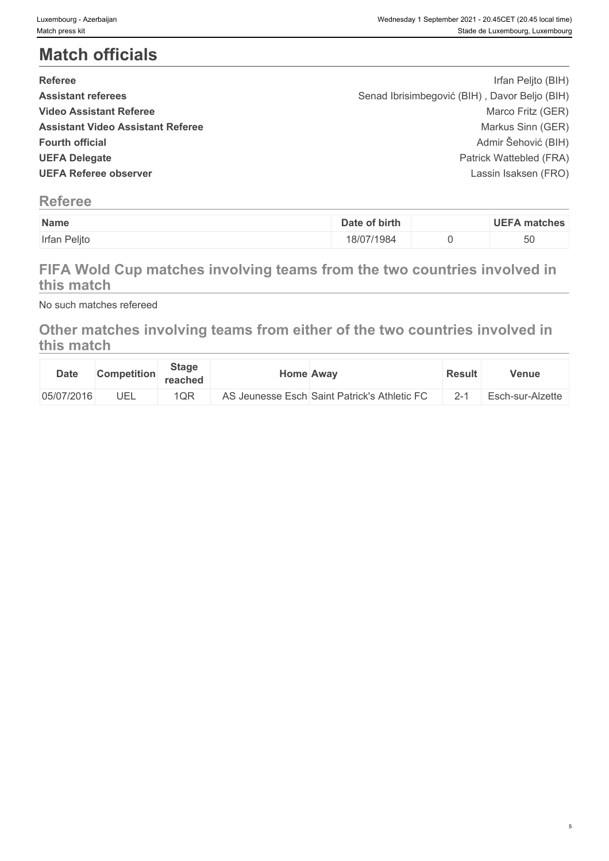# **Match officials**

| <b>Referee</b>                           | Irfan Peljto (BIH)                            |  |
|------------------------------------------|-----------------------------------------------|--|
| <b>Assistant referees</b>                | Senad Ibrisimbegović (BIH), Davor Beljo (BIH) |  |
| <b>Video Assistant Referee</b>           | Marco Fritz (GER)                             |  |
| <b>Assistant Video Assistant Referee</b> | Markus Sinn (GER)                             |  |
| <b>Fourth official</b>                   | Admir Šehović (BIH)                           |  |
| <b>UEFA Delegate</b>                     | Patrick Wattebled (FRA)                       |  |
| <b>UEFA Referee observer</b>             | Lassin Isaksen (FRO)                          |  |
|                                          |                                               |  |

# **Referee**

| Name         | of birth<br>Date | <b>UEFA</b><br>matches |
|--------------|------------------|------------------------|
| Irfan Peljto | 18/07/1984       | 50                     |

# **FIFA Wold Cup matches involving teams from the two countries involved in this match**

No such matches refereed

# **Other matches involving teams from either of the two countries involved in this match**

| <b>Date</b> | <b>Competition</b> | <b>Stage</b><br>reached | <b>Home Away</b>                             | <b>Result</b> | <b>Venue</b>     |
|-------------|--------------------|-------------------------|----------------------------------------------|---------------|------------------|
| 05/07/2016  | UEL                | 1QR                     | AS Jeunesse Esch Saint Patrick's Athletic FC | $2 - 1$       | Esch-sur-Alzette |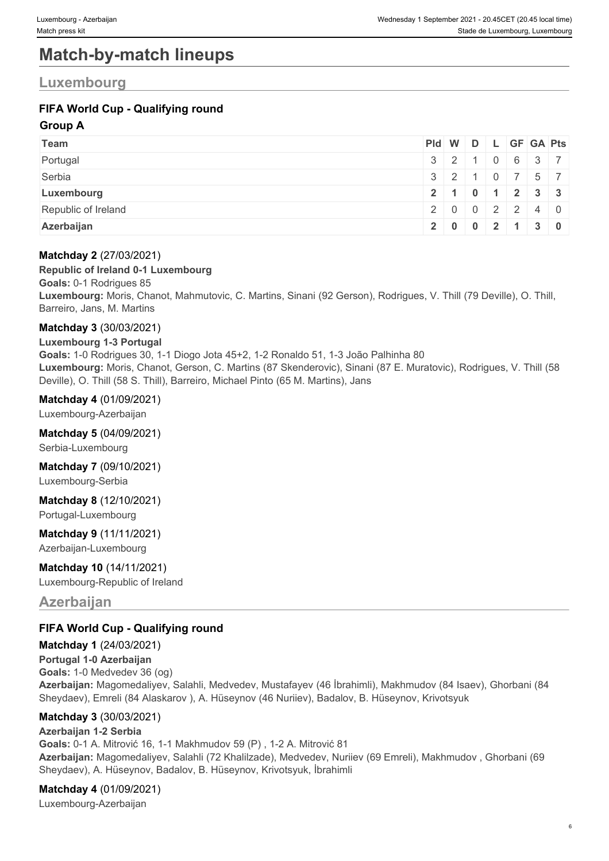# **Match-by-match lineups**

### **Luxembourg**

### **FIFA World Cup - Qualifying round**

#### **Group A**

| Team                | Pid W D L GF GA Pts |                                               |  |  |               |
|---------------------|---------------------|-----------------------------------------------|--|--|---------------|
| Portugal            |                     | $3 \mid 2 \mid 1 \mid 0 \mid 6 \mid 3 \mid 7$ |  |  |               |
| Serbia              |                     | $3$ 2 1 0 7 5 7                               |  |  |               |
| Luxembourg          |                     |                                               |  |  | 2 1 0 1 2 3 3 |
| Republic of Ireland |                     |                                               |  |  | 20002240      |
| Azerbaijan          |                     |                                               |  |  | 20002130      |

#### **Matchday 2** (27/03/2021)

#### **Republic of Ireland 0-1 Luxembourg**

**Goals:** 0-1 Rodrigues 85 **Luxembourg:** Moris, Chanot, Mahmutovic, C. Martins, Sinani (92 Gerson), Rodrigues, V. Thill (79 Deville), O. Thill, Barreiro, Jans, M. Martins

#### **Matchday 3** (30/03/2021)

**Luxembourg 1-3 Portugal Goals:** 1-0 Rodrigues 30, 1-1 Diogo Jota 45+2, 1-2 Ronaldo 51, 1-3 João Palhinha 80 **Luxembourg:** Moris, Chanot, Gerson, C. Martins (87 Skenderovic), Sinani (87 E. Muratovic), Rodrigues, V. Thill (58 Deville), O. Thill (58 S. Thill), Barreiro, Michael Pinto (65 M. Martins), Jans

**Matchday 4** (01/09/2021)

Luxembourg-Azerbaijan

#### **Matchday 5** (04/09/2021)

Serbia-Luxembourg

**Matchday 7** (09/10/2021)

Luxembourg-Serbia

**Matchday 8** (12/10/2021)

Portugal-Luxembourg

#### **Matchday 9** (11/11/2021)

Azerbaijan-Luxembourg

#### **Matchday 10** (14/11/2021)

Luxembourg-Republic of Ireland

#### **Azerbaijan**

#### **FIFA World Cup - Qualifying round**

#### **Matchday 1** (24/03/2021)

**Portugal 1-0 Azerbaijan Goals:** 1-0 Medvedev 36 (og) **Azerbaijan:** Magomedaliyev, Salahli, Medvedev, Mustafayev (46 İbrahimli), Makhmudov (84 Isaev), Ghorbani (84 Sheydaev), Emreli (84 Alaskarov ), A. Hüseynov (46 Nuriiev), Badalov, B. Hüseynov, Krivotsyuk

#### **Matchday 3** (30/03/2021)

#### **Azerbaijan 1-2 Serbia**

**Goals:** 0-1 A. Mitrović 16, 1-1 Makhmudov 59 (P) , 1-2 A. Mitrović 81 **Azerbaijan:** Magomedaliyev, Salahli (72 Khalilzade), Medvedev, Nuriiev (69 Emreli), Makhmudov , Ghorbani (69 Sheydaev), A. Hüseynov, Badalov, B. Hüseynov, Krivotsyuk, İbrahimli

#### **Matchday 4** (01/09/2021)

Luxembourg-Azerbaijan

6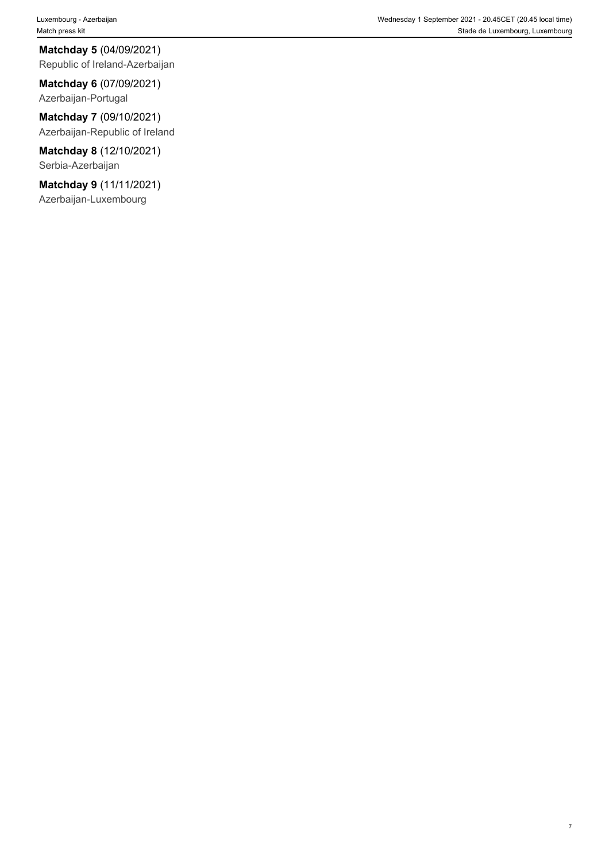Luxembourg - Azerbaijan Wednesday 1 September 2021 - 20.45CET (20.45 local time) Match press kit Stade de Luxembourg, Luxembourg, Luxembourg, Luxembourg, Luxembourg, Luxembourg, Luxembourg, Luxembourg, Luxembourg, Luxembourg, Luxembourg, Luxembourg, Luxembourg, Luxembourg, Luxembourg, Luxembourg, Luxem

7

**Matchday 5** (04/09/2021) Republic of Ireland-Azerbaijan

**Matchday 6** (07/09/2021) Azerbaijan-Portugal

**Matchday 7** (09/10/2021) Azerbaijan-Republic of Ireland

**Matchday 8** (12/10/2021) Serbia-Azerbaijan

**Matchday 9** (11/11/2021) Azerbaijan-Luxembourg